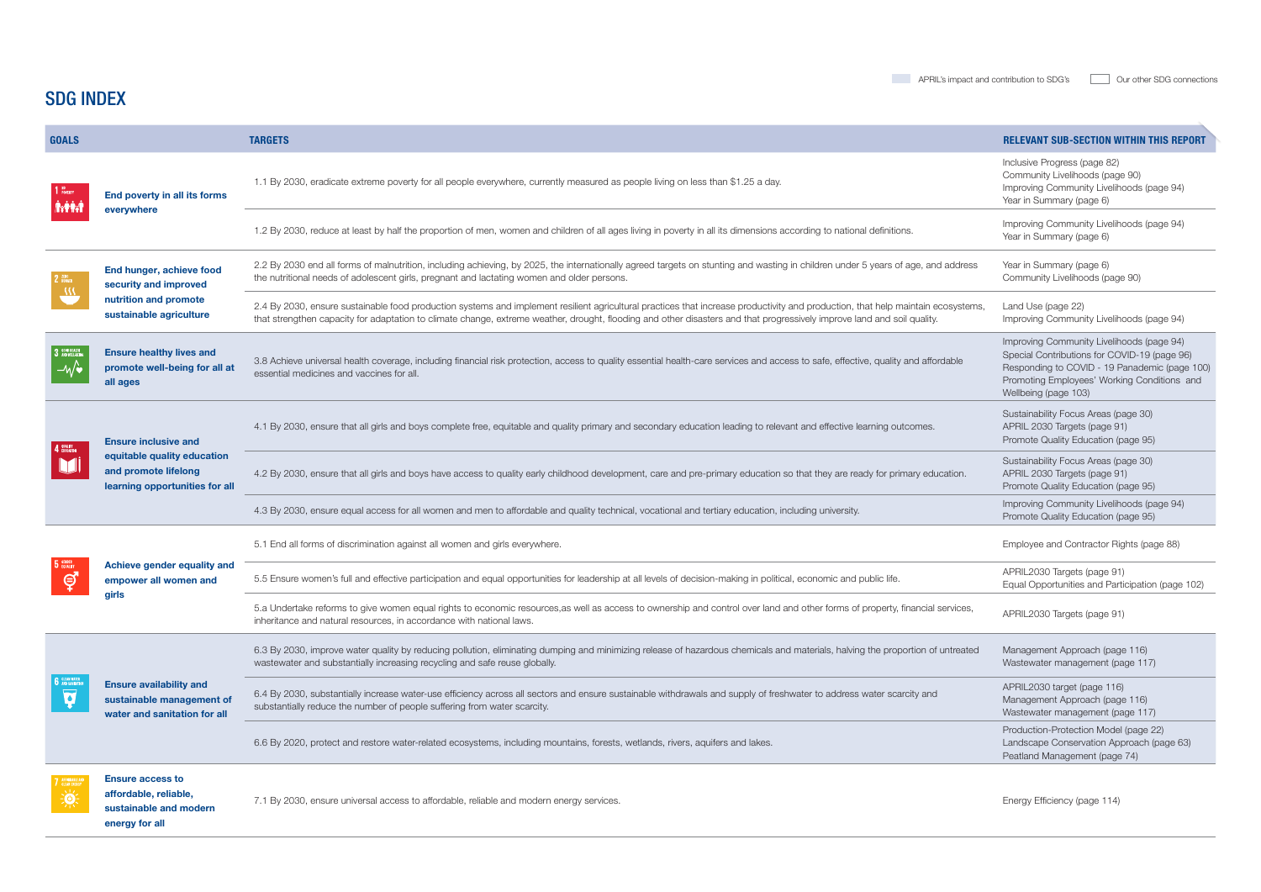## SDG INDEX

 $\overline{a}$ 

| <b>GOALS</b>                                    |                                                                                                                      | <b>TARGETS</b>                                                                                                                                                                                                                                                                                                                                              | <b>RELEVANT SUB-SECTION WITHIN THIS REPORT</b>                                                                                                                                                                    |
|-------------------------------------------------|----------------------------------------------------------------------------------------------------------------------|-------------------------------------------------------------------------------------------------------------------------------------------------------------------------------------------------------------------------------------------------------------------------------------------------------------------------------------------------------------|-------------------------------------------------------------------------------------------------------------------------------------------------------------------------------------------------------------------|
| $1^{10}$ Poverty<br><b>Artitude</b>             | End poverty in all its forms<br>everywhere                                                                           | 1.1 By 2030, eradicate extreme poverty for all people everywhere, currently measured as people living on less than \$1.25 a day.                                                                                                                                                                                                                            | Inclusive Progress (page 82)<br>Community Livelihoods (page 90)<br>Improving Community Livelihoods (page 94)<br>Year in Summary (page 6)                                                                          |
|                                                 |                                                                                                                      | 1.2 By 2030, reduce at least by half the proportion of men, women and children of all ages living in poverty in all its dimensions according to national definitions.                                                                                                                                                                                       | Improving Community Livelihoods (page 94)<br>Year in Summary (page 6)                                                                                                                                             |
| 2 HUNGER                                        | End hunger, achieve food<br>security and improved<br>nutrition and promote<br>sustainable agriculture                | 2.2 By 2030 end all forms of malnutrition, including achieving, by 2025, the internationally agreed targets on stunting and wasting in children under 5 years of age, and address<br>the nutritional needs of adolescent girls, pregnant and lactating women and older persons.                                                                             | Year in Summary (page 6)<br>Community Livelihoods (page 90)                                                                                                                                                       |
|                                                 |                                                                                                                      | 2.4 By 2030, ensure sustainable food production systems and implement resilient agricultural practices that increase productivity and production, that help maintain ecosystems,<br>that strengthen capacity for adaptation to climate change, extreme weather, drought, flooding and other disasters and that progressively improve land and soil quality. | Land Use (page 22)<br>Improving Community Livelihoods (page 94)                                                                                                                                                   |
| 3 GOOD HEALTH<br>$-\sqrt{\bullet}$              | <b>Ensure healthy lives and</b><br>promote well-being for all at<br>all ages                                         | 3.8 Achieve universal health coverage, including financial risk protection, access to quality essential health-care services and access to safe, effective, quality and affordable<br>essential medicines and vaccines for all.                                                                                                                             | Improving Community Livelihoods (page 94)<br>Special Contributions for COVID-19 (page 96)<br>Responding to COVID - 19 Panademic (page 100)<br>Promoting Employees' Working Conditions and<br>Wellbeing (page 103) |
| U                                               | <b>Ensure inclusive and</b><br>equitable quality education<br>and promote lifelong<br>learning opportunities for all | 4.1 By 2030, ensure that all girls and boys complete free, equitable and quality primary and secondary education leading to relevant and effective learning outcomes.                                                                                                                                                                                       | Sustainability Focus Areas (page 30)<br>APRIL 2030 Targets (page 91)<br>Promote Quality Education (page 95)                                                                                                       |
|                                                 |                                                                                                                      | 4.2 By 2030, ensure that all girls and boys have access to quality early childhood development, care and pre-primary education so that they are ready for primary education.                                                                                                                                                                                | Sustainability Focus Areas (page 30)<br>APRIL 2030 Targets (page 91)<br>Promote Quality Education (page 95)                                                                                                       |
|                                                 |                                                                                                                      | 4.3 By 2030, ensure equal access for all women and men to affordable and quality technical, vocational and tertiary education, including university.                                                                                                                                                                                                        | Improving Community Livelihoods (page 94)<br>Promote Quality Education (page 95)                                                                                                                                  |
| 5 GENDER<br>ල්                                  | Achieve gender equality and<br>empower all women and<br>giris                                                        | 5.1 End all forms of discrimination against all women and girls everywhere.                                                                                                                                                                                                                                                                                 | Employee and Contractor Rights (page 88)                                                                                                                                                                          |
|                                                 |                                                                                                                      | 5.5 Ensure women's full and effective participation and equal opportunities for leadership at all levels of decision-making in political, economic and public life.                                                                                                                                                                                         | APRIL2030 Targets (page 91)<br>Equal Opportunities and Participation (page 102)                                                                                                                                   |
|                                                 |                                                                                                                      | 5.a Undertake reforms to give women equal rights to economic resources, as well as access to ownership and control over land and other forms of property, financial services,<br>inheritance and natural resources, in accordance with national laws.                                                                                                       | APRIL2030 Targets (page 91)                                                                                                                                                                                       |
| <b>6</b> GLEAN WATER<br>$\overline{\mathbf{V}}$ | <b>Ensure availability and</b><br>sustainable management of<br>water and sanitation for all                          | 6.3 By 2030, improve water quality by reducing pollution, eliminating dumping and minimizing release of hazardous chemicals and materials, halving the proportion of untreated<br>wastewater and substantially increasing recycling and safe reuse globally.                                                                                                | Management Approach (page 116)<br>Wastewater management (page 117)                                                                                                                                                |
|                                                 |                                                                                                                      | 6.4 By 2030, substantially increase water-use efficiency across all sectors and ensure sustainable withdrawals and supply of freshwater to address water scarcity and<br>substantially reduce the number of people suffering from water scarcity.                                                                                                           | APRIL2030 target (page 116)<br>Management Approach (page 116)<br>Wastewater management (page 117)                                                                                                                 |
|                                                 |                                                                                                                      | 6.6 By 2020, protect and restore water-related ecosystems, including mountains, forests, wetlands, rivers, aquifers and lakes.                                                                                                                                                                                                                              | Production-Protection Model (page 22)<br>Landscape Conservation Approach (page 63)<br>Peatland Management (page 74)                                                                                               |
| 7 AFFORDABLE AI                                 | <b>Ensure access to</b><br>affordable, reliable,<br>sustainable and modern<br>energy for all                         | 7.1 By 2030, ensure universal access to affordable, reliable and modern energy services.                                                                                                                                                                                                                                                                    | Energy Efficiency (page 114)                                                                                                                                                                                      |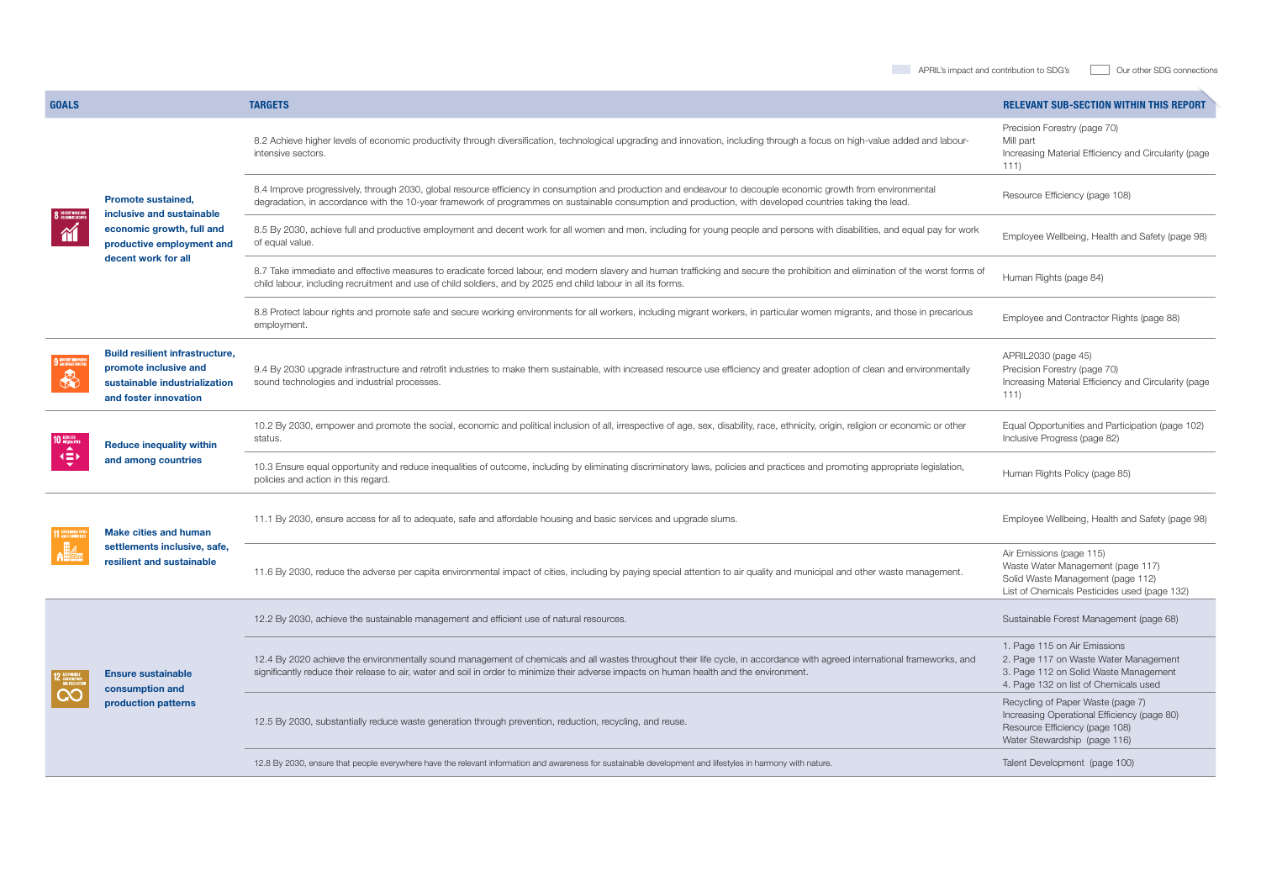| <b>GOALS</b>                    |                                                                                                                                         | <b>TARGETS</b>                                                                                                                                                                                                                                                                                                             | <b>RELEVANT SUB-SECTION WITHIN THIS REPORT</b>                                                                                                          |
|---------------------------------|-----------------------------------------------------------------------------------------------------------------------------------------|----------------------------------------------------------------------------------------------------------------------------------------------------------------------------------------------------------------------------------------------------------------------------------------------------------------------------|---------------------------------------------------------------------------------------------------------------------------------------------------------|
| <b>8</b> DECENT WORK AND<br>M   | <b>Promote sustained,</b><br>inclusive and sustainable<br>economic growth, full and<br>productive employment and<br>decent work for all | 8.2 Achieve higher levels of economic productivity through diversification, technological upgrading and innovation, including through a focus on high-value added and labour-<br>intensive sectors.                                                                                                                        | Precision Forestry (page 70)<br>Mill part<br>Increasing Material Efficiency and Circularity (page<br>111)                                               |
|                                 |                                                                                                                                         | 8.4 Improve progressively, through 2030, global resource efficiency in consumption and production and endeavour to decouple economic growth from environmental<br>degradation, in accordance with the 10-year framework of programmes on sustainable consumption and production, with developed countries taking the lead. | Resource Efficiency (page 108)                                                                                                                          |
|                                 |                                                                                                                                         | 8.5 By 2030, achieve full and productive employment and decent work for all women and men, including for young people and persons with disabilities, and equal pay for work<br>of equal value.                                                                                                                             | Employee Wellbeing, Health and Safety (page 98)                                                                                                         |
|                                 |                                                                                                                                         | 8.7 Take immediate and effective measures to eradicate forced labour, end modern slavery and human trafficking and secure the prohibition and elimination of the worst forms of<br>child labour, including recruitment and use of child soldiers, and by 2025 end child labour in all its forms.                           | Human Rights (page 84)                                                                                                                                  |
|                                 |                                                                                                                                         | 8.8 Protect labour rights and promote safe and secure working environments for all workers, including migrant workers, in particular women migrants, and those in precarious<br>employment.                                                                                                                                | Employee and Contractor Rights (page 88)                                                                                                                |
| <b>9 INDUSTRY, INNOVATE</b>     | <b>Build resilient infrastructure,</b><br>promote inclusive and<br>sustainable industrialization<br>and foster innovation               | 9.4 By 2030 upgrade infrastructure and retrofit industries to make them sustainable, with increased resource use efficiency and greater adoption of clean and environmentally<br>sound technologies and industrial processes.                                                                                              | APRIL2030 (page 45)<br>Precision Forestry (page 70)<br>Increasing Material Efficiency and Circularity (page<br>111)                                     |
| 传                               | <b>Reduce inequality within</b><br>and among countries                                                                                  | 10.2 By 2030, empower and promote the social, economic and political inclusion of all, irrespective of age, sex, disability, race, ethnicity, origin, religion or economic or other<br>status.                                                                                                                             | Equal Opportunities and Participation (page 102)<br>Inclusive Progress (page 82)                                                                        |
|                                 |                                                                                                                                         | 10.3 Ensure equal opportunity and reduce inequalities of outcome, including by eliminating discriminatory laws, policies and practices and promoting appropriate legislation,<br>policies and action in this regard.                                                                                                       | Human Rights Policy (page 85)                                                                                                                           |
| 11 SUSTAINABLE CI<br><b>A調制</b> | <b>Make cities and human</b><br>settlements inclusive, safe,<br>resilient and sustainable                                               | 11.1 By 2030, ensure access for all to adequate, safe and affordable housing and basic services and upgrade slums.                                                                                                                                                                                                         | Employee Wellbeing, Health and Safety (page 98)                                                                                                         |
|                                 |                                                                                                                                         | 11.6 By 2030, reduce the adverse per capita environmental impact of cities, including by paying special attention to air quality and municipal and other waste management.                                                                                                                                                 | Air Emissions (page 115)<br>Waste Water Management (page 117)<br>Solid Waste Management (page 112)<br>List of Chemicals Pesticides used (page 132)      |
| $\infty$                        | <b>Ensure sustainable</b><br>consumption and<br>production patterns                                                                     | 12.2 By 2030, achieve the sustainable management and efficient use of natural resources.                                                                                                                                                                                                                                   | Sustainable Forest Management (page 68)                                                                                                                 |
|                                 |                                                                                                                                         | 12.4 By 2020 achieve the environmentally sound management of chemicals and all wastes throughout their life cycle, in accordance with agreed international frameworks, and<br>significantly reduce their release to air, water and soil in order to minimize their adverse impacts on human health and the environment.    | 1. Page 115 on Air Emissions<br>2. Page 117 on Waste Water Management<br>3. Page 112 on Solid Waste Management<br>4. Page 132 on list of Chemicals used |
|                                 |                                                                                                                                         | 12.5 By 2030, substantially reduce waste generation through prevention, reduction, recycling, and reuse.                                                                                                                                                                                                                   | Recycling of Paper Waste (page 7)<br>Increasing Operational Efficiency (page 80)<br>Resource Efficiency (page 108)<br>Water Stewardship (page 116)      |
|                                 |                                                                                                                                         | 12.8 By 2030, ensure that people everywhere have the relevant information and awareness for sustainable development and lifestyles in harmony with nature.                                                                                                                                                                 | Talent Development (page 100)                                                                                                                           |